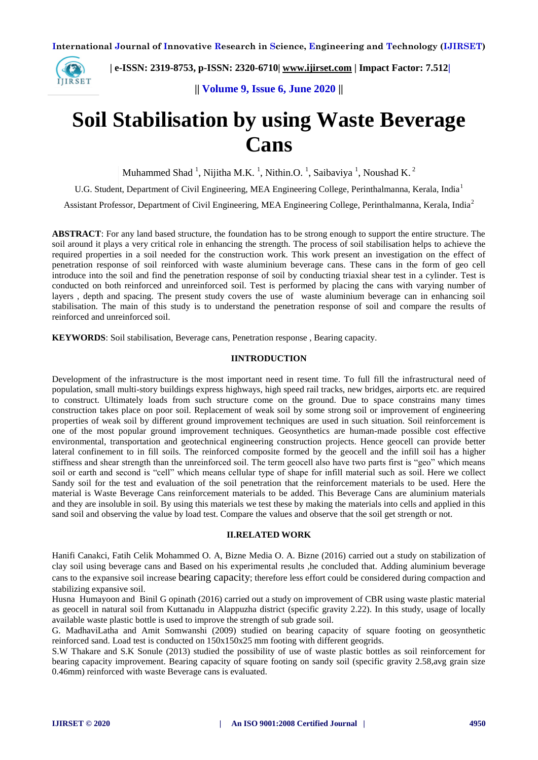

 **| e-ISSN: 2319-8753, p-ISSN: 2320-6710| [www.ijirset.com](http://www.ijirset.com/) | Impact Factor: 7.512|**

**|| Volume 9, Issue 6, June 2020 ||** 

# **Soil Stabilisation by using Waste Beverage Cans**

Muhammed Shad<sup>-1</sup>, Nijitha M.K.<sup>-1</sup>, Nithin.O.<sup>-1</sup>, Saibaviya<sup>-1</sup>, Noushad K.<sup>2</sup>

U.G. Student, Department of Civil Engineering, MEA Engineering College, Perinthalmanna, Kerala, India<sup>1</sup>

Assistant Professor, Department of Civil Engineering, MEA Engineering College, Perinthalmanna, Kerala, India<sup>2</sup>

**ABSTRACT**: For any land based structure, the foundation has to be strong enough to support the entire structure. The soil around it plays a very critical role in enhancing the strength. The process of soil stabilisation helps to achieve the required properties in a soil needed for the construction work. This work present an investigation on the effect of penetration response of soil reinforced with waste aluminium beverage cans. These cans in the form of geo cell introduce into the soil and find the penetration response of soil by conducting triaxial shear test in a cylinder. Test is conducted on both reinforced and unreinforced soil. Test is performed by placing the cans with varying number of layers , depth and spacing. The present study covers the use of waste aluminium beverage can in enhancing soil stabilisation. The main of this study is to understand the penetration response of soil and compare the results of reinforced and unreinforced soil.

**KEYWORDS**: Soil stabilisation, Beverage cans, Penetration response , Bearing capacity.

#### **IINTRODUCTION**

Development of the infrastructure is the most important need in resent time. To full fill the infrastructural need of population, small multi-story buildings express highways, high speed rail tracks, new bridges, airports etc. are required to construct. Ultimately loads from such structure come on the ground. Due to space constrains many times construction takes place on poor soil. Replacement of weak soil by some strong soil or improvement of engineering properties of weak soil by different ground improvement techniques are used in such situation. Soil reinforcement is one of the most popular ground improvement techniques. Geosynthetics are human-made possible cost effective environmental, transportation and geotechnical engineering construction projects. Hence geocell can provide better lateral confinement to in fill soils. The reinforced composite formed by the geocell and the infill soil has a higher stiffness and shear strength than the unreinforced soil. The term geocell also have two parts first is "geo" which means soil or earth and second is "cell" which means cellular type of shape for infill material such as soil. Here we collect Sandy soil for the test and evaluation of the soil penetration that the reinforcement materials to be used. Here the material is Waste Beverage Cans reinforcement materials to be added. This Beverage Cans are aluminium materials and they are insoluble in soil. By using this materials we test these by making the materials into cells and applied in this sand soil and observing the value by load test. Compare the values and observe that the soil get strength or not.

#### **II.RELATED WORK**

Hanifi Canakci, Fatih Celik Mohammed O. A, Bizne Media O. A. Bizne (2016) carried out a study on stabilization of clay soil using beverage cans and Based on his experimental results ,he concluded that. Adding aluminium beverage cans to the expansive soil increase bearing capacity; therefore less effort could be considered during compaction and stabilizing expansive soil.

Husna Humayoon and Binil G opinath (2016) carried out a study on improvement of CBR using waste plastic material as geocell in natural soil from Kuttanadu in Alappuzha district (specific gravity 2.22). In this study, usage of locally available waste plastic bottle is used to improve the strength of sub grade soil.

G. MadhaviLatha and Amit Somwanshi (2009) studied on bearing capacity of square footing on geosynthetic reinforced sand. Load test is conducted on 150x150x25 mm footing with different geogrids.

S.W Thakare and S.K Sonule (2013) studied the possibility of use of waste plastic bottles as soil reinforcement for bearing capacity improvement. Bearing capacity of square footing on sandy soil (specific gravity 2.58,avg grain size 0.46mm) reinforced with waste Beverage cans is evaluated.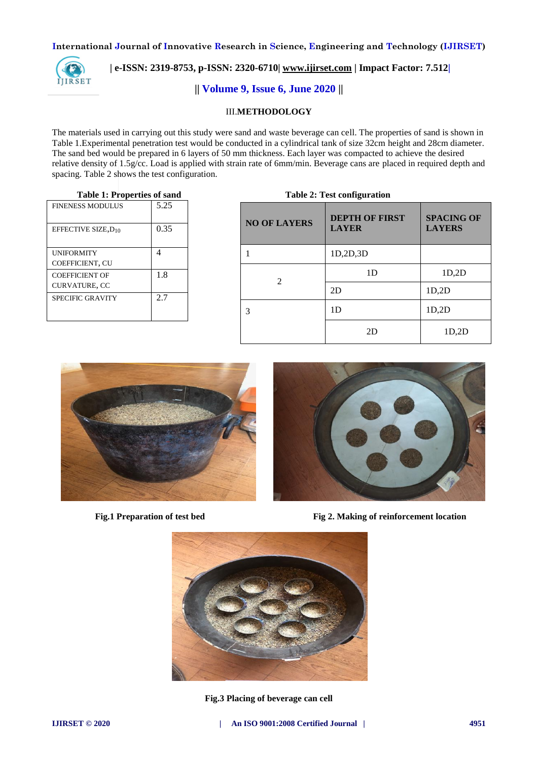

# **| e-ISSN: 2319-8753, p-ISSN: 2320-6710| [www.ijirset.com](http://www.ijirset.com/) | Impact Factor: 7.512|**

# **|| Volume 9, Issue 6, June 2020 ||**

## III.**METHODOLOGY**

The materials used in carrying out this study were sand and waste beverage can cell. The properties of sand is shown in Table 1.Experimental penetration test would be conducted in a cylindrical tank of size 32cm height and 28cm diameter. The sand bed would be prepared in 6 layers of 50 mm thickness. Each layer was compacted to achieve the desired relative density of 1.5g/cc. Load is applied with strain rate of 6mm/min. Beverage cans are placed in required depth and spacing. Table 2 shows the test configuration.

#### **Table 1: Properties of sand**

| <b>FINENESS MODULUS</b>         | 5.25 |
|---------------------------------|------|
| EFFECTIVE SIZE, D <sub>10</sub> | 0.35 |
| <b>UNIFORMITY</b>               |      |
| COEFFICIENT, CU                 |      |
| <b>COEFFICIENT OF</b>           | 1.8  |
| CURVATURE, CC                   |      |
| <b>SPECIFIC GRAVITY</b>         | 2.7  |

| Table 2: Test configuration |                                       |                                    |  |  |
|-----------------------------|---------------------------------------|------------------------------------|--|--|
| <b>NO OF LAYERS</b>         | <b>DEPTH OF FIRST</b><br><b>LAYER</b> | <b>SPACING OF</b><br><b>LAYERS</b> |  |  |
|                             | 1D,2D,3D                              |                                    |  |  |
| $\mathfrak{D}$              | 1D                                    | 1D,2D                              |  |  |
|                             | 2D                                    | 1D,2D                              |  |  |
| 3                           | 1 <sub>D</sub>                        | 1D,2D                              |  |  |
|                             | 2D                                    | 1D,2D                              |  |  |





**Fig.1 Preparation of test bed Fig 2. Making of reinforcement location** 



**Fig.3 Placing of beverage can cell**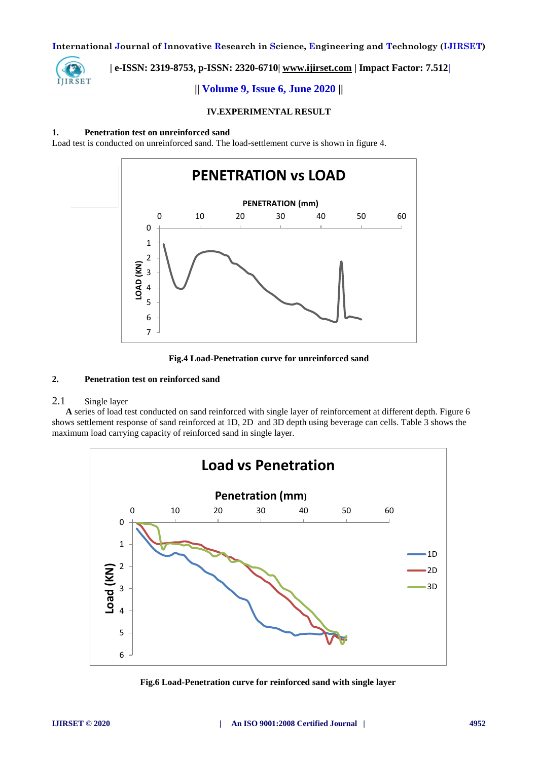

# **| e-ISSN: 2319-8753, p-ISSN: 2320-6710| [www.ijirset.com](http://www.ijirset.com/) | Impact Factor: 7.512|**

# **|| Volume 9, Issue 6, June 2020 ||**

## **IV.EXPERIMENTAL RESULT**

## **1. Penetration test on unreinforced sand**

Load test is conducted on unreinforced sand. The load-settlement curve is shown in figure 4.



**Fig.4 Load-Penetration curve for unreinforced sand**

## **2. Penetration test on reinforced sand**

## 2.1 Single layer

 **A** series of load test conducted on sand reinforced with single layer of reinforcement at different depth. Figure 6 shows settlement response of sand reinforced at 1D, 2D and 3D depth using beverage can cells. Table 3 shows the maximum load carrying capacity of reinforced sand in single layer.



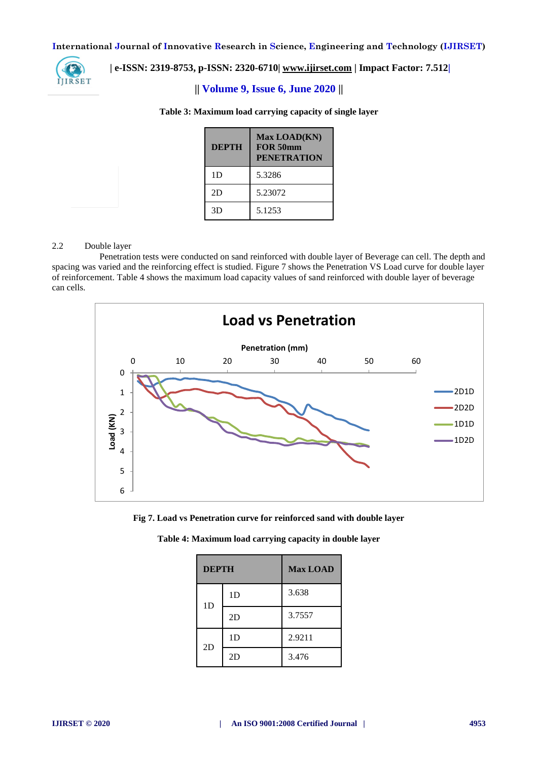

# **| e-ISSN: 2319-8753, p-ISSN: 2320-6710| [www.ijirset.com](http://www.ijirset.com/) | Impact Factor: 7.512|**

# **|| Volume 9, Issue 6, June 2020 ||**

| <b>DEPTH</b> | Max LOAD(KN)<br>FOR 50mm<br><b>PENETRATION</b> |
|--------------|------------------------------------------------|
| 1D           | 5.3286                                         |
| 2D           | 5.23072                                        |
| 3D           | 5.1253                                         |

## **Table 3: Maximum load carrying capacity of single layer**

### 2.2 Double layer

Penetration tests were conducted on sand reinforced with double layer of Beverage can cell. The depth and spacing was varied and the reinforcing effect is studied. Figure 7 shows the Penetration VS Load curve for double layer of reinforcement. Table 4 shows the maximum load capacity values of sand reinforced with double layer of beverage can cells.



**Fig 7. Load vs Penetration curve for reinforced sand with double layer**

| <b>DEPTH</b>   |    | <b>Max LOAD</b> |
|----------------|----|-----------------|
| 1 <sub>D</sub> | 1D | 3.638           |
|                | 2D | 3.7557          |
| 2D             | 1D | 2.9211          |
|                | 2D | 3.476           |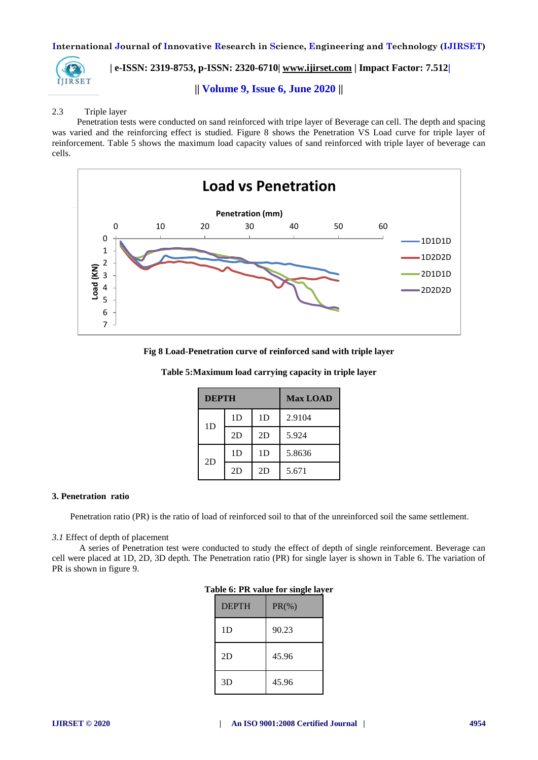

 **| e-ISSN: 2319-8753, p-ISSN: 2320-6710| [www.ijirset.com](http://www.ijirset.com/) | Impact Factor: 7.512|**

## **|| Volume 9, Issue 6, June 2020 ||**

## 2.3 Triple layer

 Penetration tests were conducted on sand reinforced with tripe layer of Beverage can cell. The depth and spacing was varied and the reinforcing effect is studied. Figure 8 shows the Penetration VS Load curve for triple layer of reinforcement. Table 5 shows the maximum load capacity values of sand reinforced with triple layer of beverage can cells.



**Fig 8 Load-Penetration curve of reinforced sand with triple layer**

| <b>DEPTH</b>   |                | <b>Max LOAD</b> |        |
|----------------|----------------|-----------------|--------|
| 1 <sub>D</sub> | 1 <sub>D</sub> | 1D              | 2.9104 |
|                | 2D             | 2D              | 5.924  |
| 2D             | 1 <sub>D</sub> | 1 <sub>D</sub>  | 5.8636 |
|                | 2D             | 2D              | 5.671  |

**Table 5:Maximum load carrying capacity in triple layer**

#### **3. Penetration ratio**

Penetration ratio (PR) is the ratio of load of reinforced soil to that of the unreinforced soil the same settlement.

#### *3.1* Effect of depth of placement

A series of Penetration test were conducted to study the effect of depth of single reinforcement. Beverage can cell were placed at 1D, 2D, 3D depth. The Penetration ratio (PR) for single layer is shown in Table 6. The variation of PR is shown in figure 9.

| $\frac{1}{2}$ and $\frac{1}{2}$ and $\frac{1}{2}$ and $\frac{1}{2}$ and $\frac{1}{2}$ |          |  |  |  |
|---------------------------------------------------------------------------------------|----------|--|--|--|
| <b>DEPTH</b>                                                                          | $PR(\%)$ |  |  |  |
| 1 <sub>D</sub>                                                                        | 90.23    |  |  |  |
| 2D                                                                                    | 45.96    |  |  |  |
| 3D                                                                                    | 45.96    |  |  |  |

| Table 6: PR value for single layer |  |  |  |  |  |
|------------------------------------|--|--|--|--|--|
|------------------------------------|--|--|--|--|--|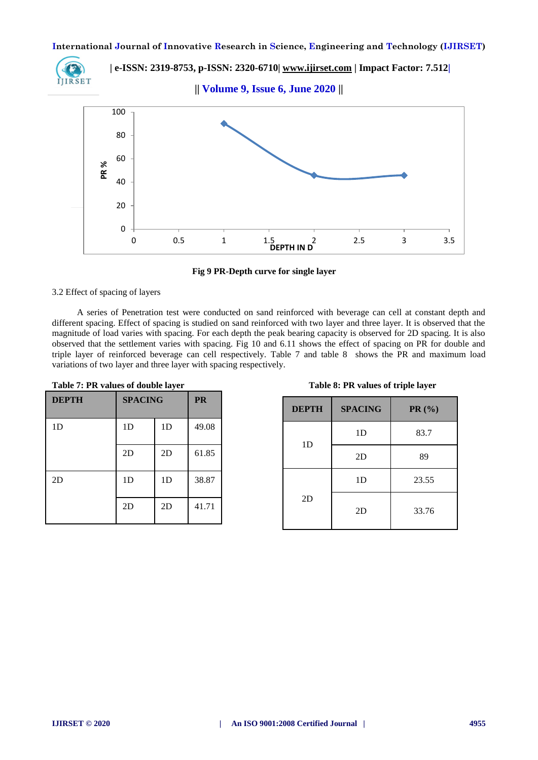

 **| e-ISSN: 2319-8753, p-ISSN: 2320-6710| [www.ijirset.com](http://www.ijirset.com/) | Impact Factor: 7.512|**

**|| Volume 9, Issue 6, June 2020 ||** 



**Fig 9 PR-Depth curve for single layer**

## 3.2 Effect of spacing of layers

 A series of Penetration test were conducted on sand reinforced with beverage can cell at constant depth and different spacing. Effect of spacing is studied on sand reinforced with two layer and three layer. It is observed that the magnitude of load varies with spacing. For each depth the peak bearing capacity is observed for 2D spacing. It is also observed that the settlement varies with spacing. Fig 10 and 6.11 shows the effect of spacing on PR for double and triple layer of reinforced beverage can cell respectively. Table 7 and table 8 shows the PR and maximum load variations of two layer and three layer with spacing respectively.

| <b>DEPTH</b>   | <b>SPACING</b> | <b>PR</b>      |       |
|----------------|----------------|----------------|-------|
| 1 <sub>D</sub> | 1 <sub>D</sub> | 1 <sub>D</sub> | 49.08 |
|                | 2D             | 2D             | 61.85 |
| 2D             | 1 <sub>D</sub> | 1 <sub>D</sub> | 38.87 |
|                | 2D             | 2D             | 41.71 |

| Table 7: PR values of double layer | Table 8: PR values of triple layer |
|------------------------------------|------------------------------------|
|                                    |                                    |

|  | Table 8: PR values of triple layer |  |  |
|--|------------------------------------|--|--|
|  |                                    |  |  |

| <b>DEPTH</b>   | <b>SPACING</b> | PR(%) |
|----------------|----------------|-------|
| 1 <sub>D</sub> | 1 <sub>D</sub> | 83.7  |
|                | 2D             | 89    |
| 2D             | 1 <sub>D</sub> | 23.55 |
|                | 2D             | 33.76 |